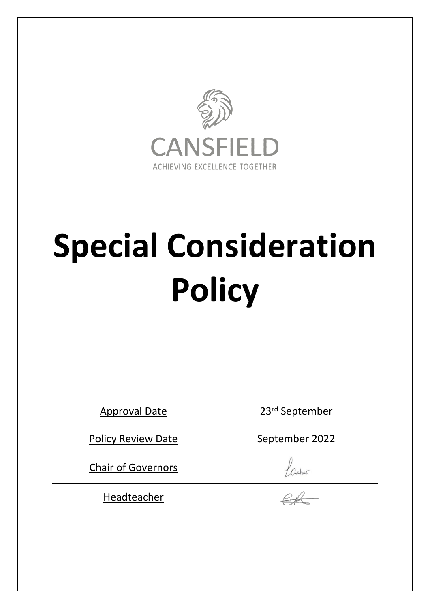

# **Special Consideration Policy**

| <b>Approval Date</b>      | 23rd September |
|---------------------------|----------------|
| <b>Policy Review Date</b> | September 2022 |
| <b>Chair of Governors</b> |                |
| Headteacher               |                |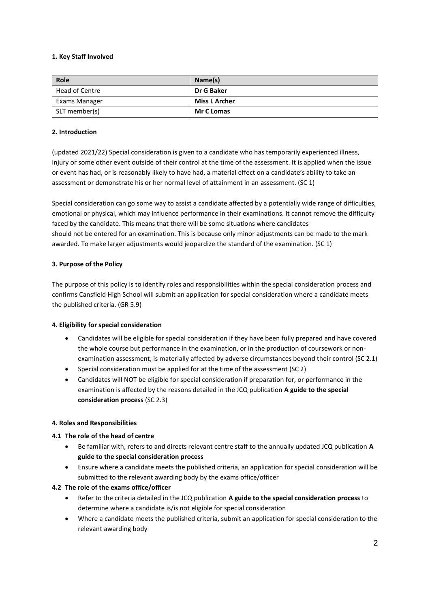## **1. Key Staff Involved**

| Role           | Name(s)              |
|----------------|----------------------|
| Head of Centre | Dr G Baker           |
| Exams Manager  | <b>Miss L Archer</b> |
| SLT member(s)  | <b>Mr C Lomas</b>    |

## **2. Introduction**

(updated 2021/22) Special consideration is given to a candidate who has temporarily experienced illness, injury or some other event outside of their control at the time of the assessment. It is applied when the issue or event has had, or is reasonably likely to have had, a material effect on a candidate's ability to take an assessment or demonstrate his or her normal level of attainment in an assessment. (SC 1)

Special consideration can go some way to assist a candidate affected by a potentially wide range of difficulties, emotional or physical, which may influence performance in their examinations. It cannot remove the difficulty faced by the candidate. This means that there will be some situations where candidates should not be entered for an examination. This is because only minor adjustments can be made to the mark awarded. To make larger adjustments would jeopardize the standard of the examination. (SC 1)

## **3. Purpose of the Policy**

The purpose of this policy is to identify roles and responsibilities within the special consideration process and confirms Cansfield High School will submit an application for special consideration where a candidate meets the published criteria. (GR 5.9)

#### **4. Eligibility for special consideration**

- Candidates will be eligible for special consideration if they have been fully prepared and have covered the whole course but performance in the examination, or in the production of coursework or nonexamination assessment, is materially affected by adverse circumstances beyond their control (SC 2.1)
- Special consideration must be applied for at the time of the assessment (SC 2)
- Candidates will NOT be eligible for special consideration if preparation for, or performance in the examination is affected by the reasons detailed in the JCQ publication **A guide to the special consideration process** (SC 2.3)

#### **4. Roles and Responsibilities**

# **4.1 The role of the head of centre**

- Be familiar with, refers to and directs relevant centre staff to the annually updated JCQ publication **A guide to the special consideration process**
- Ensure where a candidate meets the published criteria, an application for special consideration will be submitted to the relevant awarding body by the exams office/officer

# **4.2 The role of the exams office/officer**

- Refer to the criteria detailed in the JCQ publication **A guide to the special consideration process** to determine where a candidate is/is not eligible for special consideration
- Where a candidate meets the published criteria, submit an application for special consideration to the relevant awarding body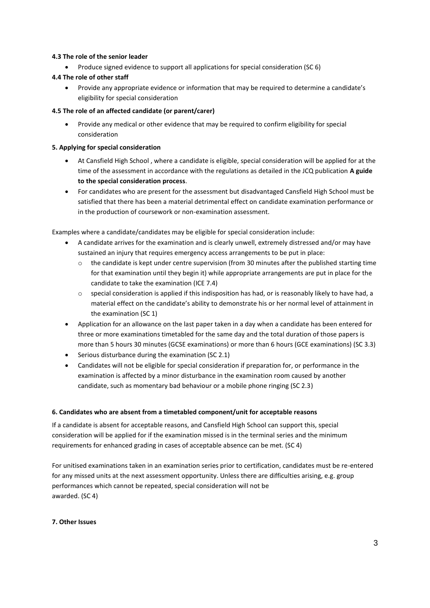## **4.3 The role of the senior leader**

Produce signed evidence to support all applications for special consideration (SC 6)

## **4.4 The role of other staff**

 Provide any appropriate evidence or information that may be required to determine a candidate's eligibility for special consideration

### **4.5 The role of an affected candidate (or parent/carer)**

 Provide any medical or other evidence that may be required to confirm eligibility for special consideration

## **5. Applying for special consideration**

- At Cansfield High School , where a candidate is eligible, special consideration will be applied for at the time of the assessment in accordance with the regulations as detailed in the JCQ publication **A guide to the special consideration process**.
- For candidates who are present for the assessment but disadvantaged Cansfield High School must be satisfied that there has been a material detrimental effect on candidate examination performance or in the production of coursework or non-examination assessment.

Examples where a candidate/candidates may be eligible for special consideration include:

- A candidate arrives for the examination and is clearly unwell, extremely distressed and/or may have sustained an injury that requires emergency access arrangements to be put in place:
	- $\circ$  the candidate is kept under centre supervision (from 30 minutes after the published starting time for that examination until they begin it) while appropriate arrangements are put in place for the candidate to take the examination (ICE 7.4)
	- $\circ$  special consideration is applied if this indisposition has had, or is reasonably likely to have had, a material effect on the candidate's ability to demonstrate his or her normal level of attainment in the examination (SC 1)
- Application for an allowance on the last paper taken in a day when a candidate has been entered for three or more examinations timetabled for the same day and the total duration of those papers is more than 5 hours 30 minutes (GCSE examinations) or more than 6 hours (GCE examinations) (SC 3.3)
- Serious disturbance during the examination (SC 2.1)
- Candidates will not be eligible for special consideration if preparation for, or performance in the examination is affected by a minor disturbance in the examination room caused by another candidate, such as momentary bad behaviour or a mobile phone ringing (SC 2.3)

#### **6. Candidates who are absent from a timetabled component/unit for acceptable reasons**

If a candidate is absent for acceptable reasons, and Cansfield High School can support this, special consideration will be applied for if the examination missed is in the terminal series and the minimum requirements for enhanced grading in cases of acceptable absence can be met. (SC 4)

For unitised examinations taken in an examination series prior to certification, candidates must be re-entered for any missed units at the next assessment opportunity. Unless there are difficulties arising, e.g. group performances which cannot be repeated, special consideration will not be awarded. (SC 4)

#### **7. Other Issues**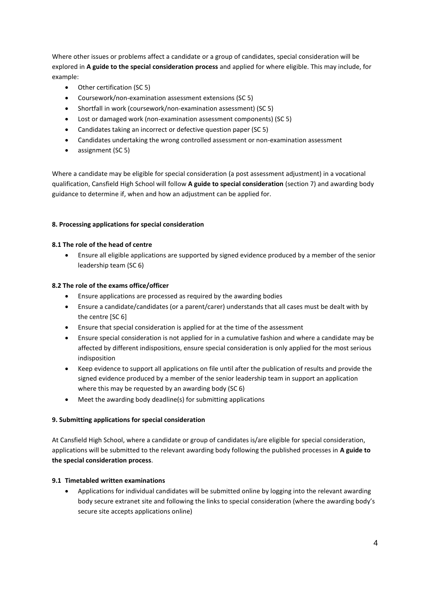Where other issues or problems affect a candidate or a group of candidates, special consideration will be explored in **A guide to the special consideration process** and applied for where eligible. This may include, for example:

- Other certification (SC 5)
- Coursework/non-examination assessment extensions (SC 5)
- Shortfall in work (coursework/non-examination assessment) (SC 5)
- Lost or damaged work (non-examination assessment components) (SC 5)
- Candidates taking an incorrect or defective question paper (SC 5)
- Candidates undertaking the wrong controlled assessment or non-examination assessment
- assignment (SC 5)

Where a candidate may be eligible for special consideration (a post assessment adjustment) in a vocational qualification, Cansfield High School will follow **A guide to special consideration** (section 7) and awarding body guidance to determine if, when and how an adjustment can be applied for.

# **8. Processing applications for special consideration**

## **8.1 The role of the head of centre**

 Ensure all eligible applications are supported by signed evidence produced by a member of the senior leadership team (SC 6)

## **8.2 The role of the exams office/officer**

- Ensure applications are processed as required by the awarding bodies
- Ensure a candidate/candidates (or a parent/carer) understands that all cases must be dealt with by the centre [SC 6]
- Ensure that special consideration is applied for at the time of the assessment
- Ensure special consideration is not applied for in a cumulative fashion and where a candidate may be affected by different indispositions, ensure special consideration is only applied for the most serious indisposition
- Keep evidence to support all applications on file until after the publication of results and provide the signed evidence produced by a member of the senior leadership team in support an application where this may be requested by an awarding body (SC 6)
- Meet the awarding body deadline(s) for submitting applications

# **9. Submitting applications for special consideration**

At Cansfield High School, where a candidate or group of candidates is/are eligible for special consideration, applications will be submitted to the relevant awarding body following the published processes in **A guide to the special consideration process**.

#### **9.1 Timetabled written examinations**

 Applications for individual candidates will be submitted online by logging into the relevant awarding body secure extranet site and following the links to special consideration (where the awarding body's secure site accepts applications online)